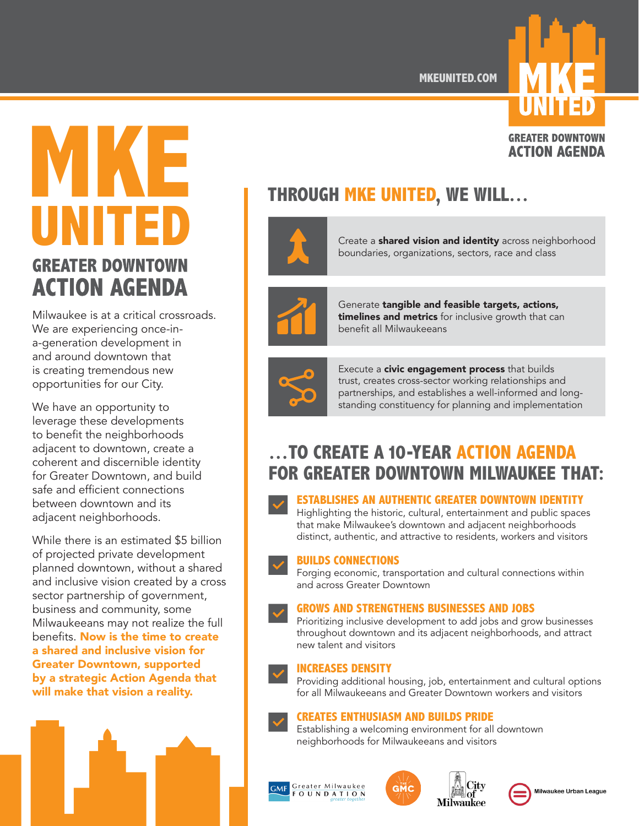**MKEUNITED.COM**

# **MANUEL PROPERTY AND READ THROUGH MKE UNITED, WE WILL… UNITED ACTION AGENDA**

Milwaukee is at a critical crossroads. We are experiencing once-ina-generation development in and around downtown that is creating tremendous new opportunities for our City.

We have an opportunity to leverage these developments to benefit the neighborhoods adjacent to downtown, create a coherent and discernible identity for Greater Downtown, and build safe and efficient connections between downtown and its adjacent neighborhoods.

While there is an estimated \$5 billion of projected private development planned downtown, without a shared and inclusive vision created by a cross sector partnership of government, business and community, some Milwaukeeans may not realize the full benefits. Now is the time to create a shared and inclusive vision for Greater Downtown, supported by a strategic Action Agenda that will make that vision a reality.



Create a **shared vision and identity** across neighborhood boundaries, organizations, sectors, race and class



Generate tangible and feasible targets, actions, timelines and metrics for inclusive growth that can benefit all Milwaukeeans



Execute a **civic engagement process** that builds trust, creates cross-sector working relationships and partnerships, and establishes a well-informed and longstanding constituency for planning and implementation

## **…TO CREATE A 10-YEAR ACTION AGENDA FOR GREATER DOWNTOWN MILWAUKEE THAT:**

#### **ESTABLISHES AN AUTHENTIC GREATER DOWNTOWN IDENTITY**

Highlighting the historic, cultural, entertainment and public spaces that make Milwaukee's downtown and adjacent neighborhoods distinct, authentic, and attractive to residents, workers and visitors

#### **BUILDS CONNECTIONS**

Forging economic, transportation and cultural connections within and across Greater Downtown

#### **GROWS AND STRENGTHENS BUSINESSES AND JOBS**

Prioritizing inclusive development to add jobs and grow businesses throughout downtown and its adjacent neighborhoods, and attract new talent and visitors

#### **INCREASES DENSITY**

Providing additional housing, job, entertainment and cultural options for all Milwaukeeans and Greater Downtown workers and visitors

#### **CREATES ENTHUSIASM AND BUILDS PRIDE**

Establishing a welcoming environment for all downtown neighborhoods for Milwaukeeans and visitors